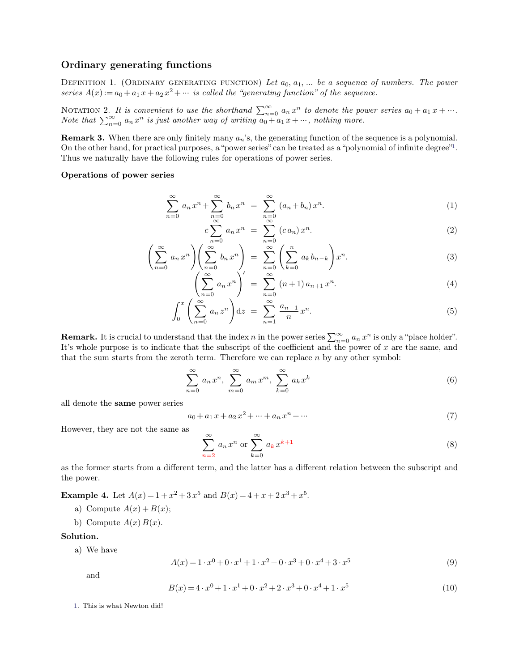**Ordinary generating functions**<br>DEFINITION 1. (ORDINARY GENERATING FUNCT **Ordinary generating functions**<br>DEFINITION 1. (ORDINARY GENERATING FUNCTION) *Let*  $a_0, a_1, ...$  *be a sequence of numbers. The power*<br>*series*  $A(x) := a_0 + a_1 x + a_2 x^2 + ...$  *is called the "generating function" of the sequence. series*  $A(x) := a_0 + a_1 x + a_2 x^2 + \cdots$  *is called the "generating function" of the sequence.* **EXERATING FUNCTION)** Let  $a_0, a_1, ...$  be a sequence of num  $a^2 + ...$  is called the "generating function" of the sequence.

**Ordinary generating functions**<br>DEFINITION 1. (ORDINARY GENERATING FUNCTION) Let  $a_0, a_1, ...$  be a series  $A(x) := a_0 + a_1 x + a_2 x^2 + ...$  is called the "generating function" of<br>NOTATION 2. It is convenient to use the shorthand  $\sum$  $\sum_{n=0}^{\infty} a_n x^n$  *to deno* **Ordinary generating functions**<br>
DEFINITION 1. (ORDINARY GENERATING FUNCTION) Let  $a_0, a_1, ...$  be a sequence of numbers. The power<br>
series  $A(x) := a_0 + a_1 x + a_2 x^2 + ...$  is called the "generating function" of the sequence.<br>
NOTAT  $\sum_{n=0}^{\infty} a_n x^n$  *is just o* DINARY GENERATING FUNCTION) Let  $a_0, a_1, ...$  be a sequence of  $r + a_2 x^2 + ...$  is called the "generating function" of the sequence.<br> *onvenient to use the shorthand*  $\sum_{n=0}^{\infty} a_n x^n$  to denote the power s<br> *n* is just anothe

series  $A(x) := a_0 + a_1 x + a_2 x^2 + \cdots$  is called the "generating function" of the sequence.<br>
NOTATION 2. It is convenient to use the shorthand  $\sum_{n=0}^{\infty} a_n x^n$  to denote the power series  $a_0 + a_1 x + \cdots$ .<br> *Note that*  $\sum_{n=0}^$ NOTATION 2. It is convenient to use the shorthand  $\sum_{n=0}^{\infty} a_n x^n$  to denote the power series  $a_0 + a_1 x + \cdots$ .<br>Note that  $\sum_{n=0}^{\infty} a_n x^n$  is just another way of writing  $a_0 + a_1 x + \cdots$ , nothing more.<br>**Remark 3.** When th **Remark 3.** When there are only finitely many  $a_n$ 's, the generating function of the sequence is a polynomial.<br>On the other hand, for practical purposes, a "power series" can be treated as a "polynomial of infinite degree

$$
\sum_{n=0}^{\infty} a_n x^n + \sum_{\substack{n=0 \ n \ge 0}}^{\infty} b_n x^n = \sum_{\substack{n=0 \ n \ge 0}}^{\infty} (a_n + b_n) x^n.
$$
\n(1)\n
$$
c \sum_{n=0}^{\infty} a_n x^n = \sum_{n=0}^{\infty} (c a_n) x^n.
$$
\n(2)

<span id="page-0-0"></span>
$$
c\sum_{n=0}^{\infty} a_n x^n = \sum_{n=0}^{\infty} (c a_n) x^n.
$$
 (2)

$$
\left(\sum_{n=0}^{\infty} a_n x^n \right) \left(\sum_{n=0}^{\infty} b_n x^n \right) = \sum_{n=0}^{\infty} \left(\sum_{k=0}^n a_k b_{n-k} \right) x^n.
$$
\n
$$
\left(\sum_{n=0}^{\infty} a_n x^n \right)' = \sum_{n=0}^{\infty} (n+1) a_{n+1} x^n.
$$
\n(3)\n
$$
\left(\sum_{n=0}^{\infty} a_n x^n \right)' = \sum_{n=0}^{\infty} (n+1) a_{n+1} x^n.
$$
\n(4)

$$
\left(\sum_{n=0}^{\infty} a_n x^n\right)' = \sum_{n=0}^{\infty} (n+1) a_{n+1} x^n.
$$
 (4)

$$
\left(\sum_{n=0}^{n} a_n x\right) = \sum_{n=0}^{n} \frac{(n+1)a_{n+1} x}{n}.
$$
\n
$$
\int_0^x \left(\sum_{n=0}^\infty a_n z^n\right) dz = \sum_{n=1}^\infty \frac{a_{n-1}}{n} x^n.
$$
\n(5)

\nrstand that the index *n* in the power series  $\sum_{n=0}^\infty a_n x^n$  is only a "place holder".

\nthe that the subscript of the coefficient and the power of *x* are the same, and

**Remark.** It is crucial to understand that the index *n* in the power series  $\sum_{n=0}^{\infty} a_n x^n$ .<br> **Remark.** It is crucial to understand that the index *n* in the power series  $\sum_{n=0}^{\infty} a_n x^n$  is only at it's whole purpo  $\sum_{n=0}^{\infty} a_n x^n$  is only a **It's whole purpose is to indicate that the subscript of the coefficient and the power of** *x* **are the same, and that the sum starts from the zeroth term. Therefore we can replace** *n* **by any other symbol: Hemark.** It is crucial to understand that the index *n* in the power series  $\sum_{n=0}^{\infty} a_n x^n$  is only a "plat's whole purpose is to indicate that the subscript of the coefficient and the power of *x* are the that the su

It's whole purpose is to indicate that the subscript of the coefficient and the power of x are the same, and that the sum starts from the zeroth term. Therefore we can replace n by any other symbol:\n
$$
\sum_{n=0}^{\infty} a_n x^n, \sum_{m=0}^{\infty} a_m x^m, \sum_{k=0}^{\infty} a_k x^k
$$
\n(6)

$$
a_0 + a_1 x + a_2 x^2 + \dots + a_n x^n + \dots \tag{7}
$$

all denote the **same** power series<br> $a_0 + a_1 s$ <br>However, they are not the same as

$$
\sum_{n=2}^{\infty} a_n x^n \text{ or } \sum_{k=0}^{\infty} a_k x^{k+1}
$$
 (8)

However, they are not the same as<br>  $\sum_{n=2}^{\infty} a_n x^n$  or  $\sum_{k=0}^{\infty} a_k x^{k+1}$  (8)<br>
as the former starts from a different term, and the latter has a different relation between the subscript and<br>
the power. However, they<br>as the former s<br>the power.<br>Example 4 L as the former starts from a different term, and the latter has a different<br>the power.<br>**Example 4.** Let  $A(x) = 1 + x^2 + 3x^5$  and  $B(x) = 4 + x + 2x^3 + x^5$ .<br>a) Compute  $A(x) + B(x)$ ;

 $3 + x^5$ .

- a) Compute  $A(x) + B(x)$ ;
- b) Compute  $A(x) B(x)$ . a) Compute  $A(x)$ <br>b) Compute  $A(x)$ <br>**ution.**<br>a) We have

# **Solution.**

$$
A(x) = 1 \cdot x^{0} + 0 \cdot x^{1} + 1 \cdot x^{2} + 0 \cdot x^{3} + 0 \cdot x^{4} + 3 \cdot x^{5}
$$
\n
$$
B(x) = 4 \cdot x^{0} + 1 \cdot x^{1} + 0 \cdot x^{2} + 2 \cdot x^{3} + 0 \cdot x^{4} + 1 \cdot x^{5}
$$
\n(10)

and

<span id="page-0-2"></span><span id="page-0-1"></span>
$$
B(x) = 4 \cdot x^0 + 1 \cdot x^1 + 0 \cdot x^2 + 2 \cdot x^3 + 0 \cdot x^4 + 1 \cdot x^5 \tag{10}
$$

[<sup>1.</sup>](#page-0-0) This is what Newton did!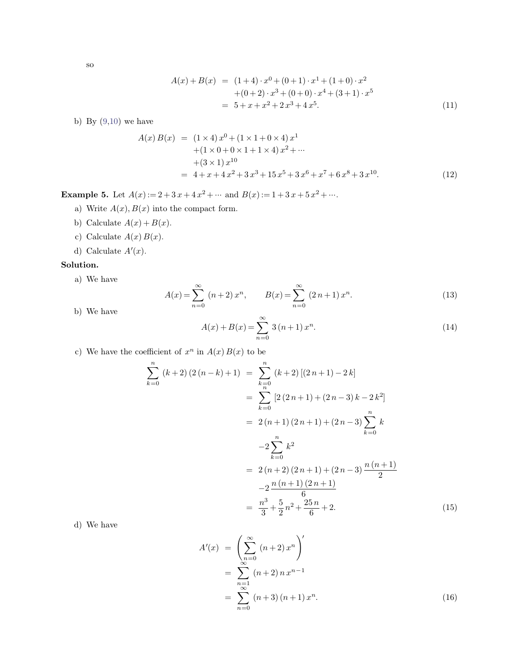so

$$
A(x) + B(x) = (1+4) \cdot x^{0} + (0+1) \cdot x^{1} + (1+0) \cdot x^{2}
$$
  
+ (0+2) \cdot x^{3} + (0+0) \cdot x^{4} + (3+1) \cdot x^{5}  
= 5 + x + x^{2} + 2x^{3} + 4x^{5}. (11)

b)By  $(9,10)$  $(9,10)$  we have

$$
+(0+2) \cdot x^{3} + (0+0) \cdot x^{4} + (3+1) \cdot x^{5}
$$
\n
$$
= 5 + x + x^{2} + 2x^{3} + 4x^{5}.
$$
\n(11)\n
$$
A(x) B(x) = (1 \times 4) x^{0} + (1 \times 1 + 0 \times 4) x^{1} + (1 \times 0 + 0 \times 1 + 1 \times 4) x^{2} + \cdots + (3 \times 1) x^{10}
$$
\n
$$
= 4 + x + 4x^{2} + 3x^{3} + 15x^{5} + 3x^{6} + x^{7} + 6x^{8} + 3x^{10}.
$$
\n(12)\nExample 5. Let  $A(x) := 2 + 3x + 4x^{2} + \cdots$  and  $B(x) := 1 + 3x + 5x^{2} + \cdots$ \na) Write  $A(x), B(x)$  into the compact form.\nb) Calculate  $A(x) + B(x)$ .  
\n(b) Calculate  $A(x) + B(x)$ .

 $x^2 + \cdots$ .

- 
- b) Calculate  $A(x) + B(x)$ .
- c) Calculate  $A(x) B(x)$ .<br>d) Calculate  $A'(x)$ .<br>a) We have  $A(x)$
- d) Calculate  $A'(x)$ .

# **Solution.**

$$
A(x) = \sum_{n=0}^{\infty} (n+2) x^n, \qquad B(x) = \sum_{n=0}^{\infty} (2n+1) x^n.
$$
 (13)

b) We have

a) We have  
\n
$$
A(x) = \sum_{n=0}^{\infty} (n+2) x^n, \qquad B(x) = \sum_{n=0}^{\infty} (2n+1) x^n.
$$
\n(b) We have  
\n
$$
A(x) + B(x) = \sum_{n=0}^{\infty} 3 (n+1) x^n.
$$
\n(c) We have the coefficient of  $x^n$  in  $A(x) B(x)$  to be

$$
A(x) + B(x) = \sum_{n=0}^{n} 3(n+1) x^{n}.
$$
\nefficient of  $x^{n}$  in  $A(x) B(x)$  to be

\n
$$
\sum_{k=0}^{n} (k+2) (2(n-k) + 1) = \sum_{k=0}^{n} (k+2) [(2n+1) - 2k]
$$
\n
$$
= \sum_{k=0}^{n} [2(2n+1) + (2n-3)k - 2k^{2}]
$$
\n
$$
= 2(n+1) (2n+1) + (2n-3) \sum_{k=0}^{n} k
$$
\n
$$
-2 \sum_{k=0}^{n} k^{2}
$$
\n
$$
= 2(n+2) (2n+1) + (2n-3) \frac{n(n+1)}{2}
$$
\n
$$
-2 \frac{n(n+1) (2n+1)}{6}
$$
\n
$$
= \frac{n^{3}}{3} + \frac{5}{2} n^{2} + \frac{25n}{6} + 2.
$$
\n(15)

d) We have

$$
= \frac{n^3}{3} + \frac{5}{2}n^2 + \frac{25n}{6} + 2.
$$
\n
$$
A'(x) = \left(\sum_{n=0}^{\infty} (n+2) x^n\right)'
$$
\n
$$
= \sum_{\substack{n=1 \ \infty \\ n=0}}^{\infty} (n+2) n x^{n-1}
$$
\n
$$
= \sum_{n=0}^{\infty} (n+3) (n+1) x^n.
$$
\n(16)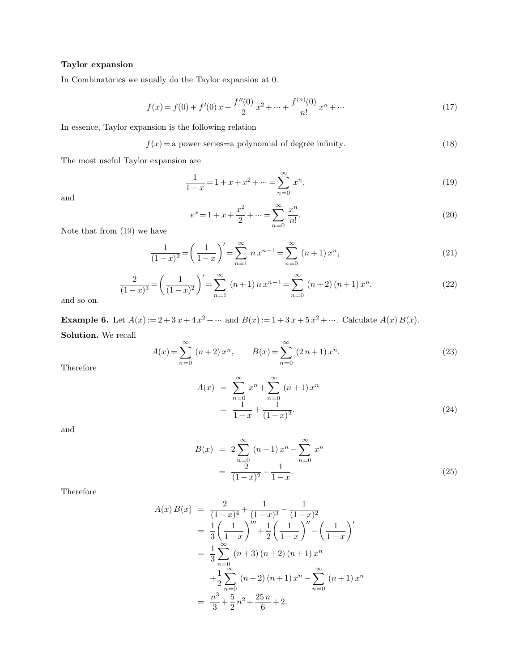**Taylor expansion**<br>In Combinatorics we usually c In Combinatorics we usually do the Taylor expansion at <sup>0</sup>.

In Combinatorics we usually do the Taylor expansion at 0.  
\n
$$
f(x) = f(0) + f'(0) x + \frac{f''(0)}{2} x^2 + \dots + \frac{f^{(n)}(0)}{n!} x^n + \dots
$$
\nIn essence, Taylor expansion is the following relation  
\n
$$
f(x) = a \text{ power series} = a \text{ polynomial of degree infinity.}
$$
\n(18)

In essence, Taylor expansion is the following relation<br> $f(x) = a$  power series=a polyn<br>The most useful Taylor expansion are

$$
f(x) = a power series = a polynomial of degree infinity.
$$
\n(18)

ower series=a polynomial of degree infinity.  
\n1 are  
\n
$$
\frac{1}{1-x} = 1 + x + x^2 + \dots = \sum_{n=0}^{\infty} x^n,
$$
\n(19)

and

<span id="page-2-0"></span>
$$
\frac{1}{1-x} = 1 + x + x^2 + \dots = \sum_{n=0}^{\infty} x^n,
$$
\n(19)\n
$$
e^x = 1 + x + \frac{x^2}{2} + \dots = \sum_{n=0}^{\infty} \frac{x^n}{n!}.
$$
\n(20)

Note thatfrom [\(19\)](#page-2-0) we have

$$
e^{x} = 1 + x + \frac{x^{2}}{2} + \dots = \sum_{n=0}^{\infty} \frac{x^{n}}{n!}.
$$
\n(20)

\n
$$
\frac{1}{(1-x)^{2}} = \left(\frac{1}{1-x}\right)' = \sum_{n=1}^{\infty} n x^{n-1} = \sum_{n=0}^{\infty} (n+1) x^{n},
$$
\n(21)

$$
\frac{1}{(1-x)^2} = \left(\frac{1}{1-x}\right)' = \sum_{n=1}^{\infty} n x^{n-1} = \sum_{n=0}^{\infty} (n+1) x^n,
$$
(21)  

$$
\frac{2}{(1-x)^3} = \left(\frac{1}{(1-x)^2}\right)' = \sum_{n=1}^{\infty} (n+1) n x^{n-1} = \sum_{n=0}^{\infty} (n+2) (n+1) x^n.
$$
(22)  
and so on.  
**Example 6.** Let  $A(x) := 2 + 3x + 4x^2 + \dots$  and  $B(x) := 1 + 3x + 5x^2 + \dots$  Calculate  $A(x) B(x)$ .  
**Solution.** We recall

and so on.  $\overline{a}$ 

$$
= 2 + 3 x + 4 x^{2} + \cdots \text{ and } B(x) := 1 + 3 x + 5 x^{2} + \cdots. \text{ Calculate } A(x) B(x).
$$
  

$$
A(x) = \sum_{n=0}^{\infty} (n+2) x^{n}, \qquad B(x) = \sum_{n=0}^{\infty} (2n+1) x^{n}.
$$
 (23)

Therefore

$$
(n+2) xn, \tB(x) = \sum_{n=0}^{\infty} (2n+1) xn.
$$
\n
$$
A(x) = \sum_{n=0}^{\infty} xn + \sum_{n=0}^{\infty} (n+1) xn
$$
\n
$$
= \frac{1}{1-x} + \frac{1}{(1-x)^2}.
$$
\n(24)

and

$$
= \frac{1}{1-x} + \frac{1}{(1-x)^2}.
$$
\n
$$
B(x) = 2 \sum_{n=0}^{\infty} (n+1) x^n - \sum_{n=0}^{\infty} x^n
$$
\n
$$
= \frac{2}{(1-x)^2} - \frac{1}{1-x}.
$$
\n(25)

Therefore

$$
A(x) B(x) = \frac{2}{(1-x)^4} + \frac{1}{(1-x)^3} - \frac{1}{(1-x)^2}
$$
  
=  $\frac{1}{3} \left( \frac{1}{1-x} \right)^m + \frac{1}{2} \left( \frac{1}{1-x} \right)^n - \left( \frac{1}{1-x} \right)^n$   
=  $\frac{1}{3} \sum_{n=0}^{\infty} (n+3) (n+2) (n+1) x^n$   
+  $\frac{1}{2} \sum_{n=0}^{\infty} (n+2) (n+1) x^n - \sum_{n=0}^{\infty} (n+1) x^n$   
=  $\frac{n^3}{3} + \frac{5}{2} n^2 + \frac{25 n}{6} + 2$ .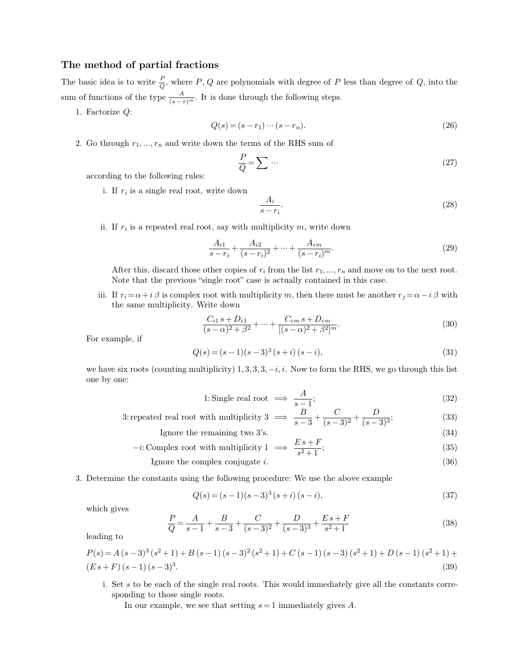**The method of partial fractions**<br>The basic idea is to write  $\frac{P}{Q}$ , where  $P, Q$  are polyn The method of partial fraction<br>The basic idea is to write  $\frac{P}{Q}$ , where sum of functions of the type  $\frac{A}{P}$ *Q* al fractions<br>, where *P*, *Q* are polynomials with degree of *P* less than degree of *Q*, into the<br> $\frac{A}{(s-r)^m}$ . It is done through the following steps. The method of partial fractions<br>The basic idea is to write  $\frac{P}{Q}$ , where  $P$ ,  $Q$  are polynomials with degree of  $P$  less<br>sum of functions of the type  $\frac{A}{(s-r)^m}$ . It is done through the following steps.<br>1. Factorize *Q* are polynomials with degree of *P* less than degree of *Q*, into the<br>is done through the following steps.<br> $Q(s) = (s - r_1) \cdots (s - r_n).$  (26)<br>wwn the terms of the RHS sum of 2. Go through  $r_1, ..., r_n$  and write down the terms of the RHS sum of<br>
2. Go through  $r_1, ..., r_n$  and write down the terms of the RHS sum of<br>  $\frac{P}{r} = \sum ...$ 

1. Factorize *Q*:

$$
Q(s) = (s - r_1) \cdots (s - r_n). \tag{26}
$$

Go through  $r_1, ..., r_n$  and write down<br>according to the following rules:<br>i. If  $r_i$  is a single real root, write  $r_1,...,r_n$  and write down the terms of th $\frac{P}{Q} = \sum \cdots$  o the following rules:<br> is a single real root, write down  $\frac{A_i}{P}$ 

$$
\frac{P}{Q} = \sum \cdots \tag{27}
$$

i. If  $r_i$  is a single real root, write down

the following rules:

\nis a single real root, write down

\n
$$
\frac{A_i}{s - r_i}.
$$
\n(28)

\nis a repeated real root, say with multiplicity  $m$ , write down

\n
$$
\frac{A_{i1}}{A_{i2}} = \frac{A_{im}}{A_{im}}
$$

ii. If  $r_i$  is a

$$
\frac{A_{i1}}{s-r_i} + \frac{A_{i2}}{(s-r_i)^2} + \dots + \frac{A_{im}}{(s-r_i)^m}.
$$
\n(29)

If  $r_i$  is a repeated real root, say with multiplicity  $m$ , write down<br>  $\frac{A_{i1}}{s-r_i} + \frac{A_{i2}}{(s-r_i)^2} + \dots + \frac{A_{im}}{(s-r_i)^m}$ . (29)<br>
After this, discard those other copies of  $r_i$  from the list  $r_1, ..., r_n$  and move on to the ne  $\frac{A_{i1}}{s-r_i} + \frac{A_{i2}}{(s-r_i)^2} + \dots + \frac{A_{im}}{(s-r_i)^m}$ .<br>After this, discard those other copies of  $r_i$  from the list  $r_1, ..., r_n$  and move on to Note that the previous "single root" case is actually contained in this case.<br>If  $r_i$ 

if  $\frac{A_{i1}}{s-r_i} + \frac{A_{i2}}{(s-r_i)^2} + \dots + \frac{A_{im}}{(s-r_i)^m}$ . (29)<br>
After this, discard those other copies of  $r_i$  from the list  $r_1, ..., r_n$  and move on to the next root.<br>
Note that the previous "single root" case is actually conta After this, discard those other copies of  $r_i$  fr<br>Note that the previous "single root" case is :<br>If  $r_i = \alpha + i \beta$  is complex root with multiplicit<br>the same multiplicity. Write down<br> $C_{i1} s + D_{i1}$ iii. If  $r_i = \alpha + i \beta$  is contained the same multip For example, if

Write down  
\n
$$
\frac{C_{i1} s + D_{i1}}{(s - \alpha)^2 + \beta^2} + \dots + \frac{C_{im} s + D_{im}}{[(s - \alpha)^2 + \beta^2]^m}.
$$
\n(30)  
\n
$$
Q(s) = (s - 1)(s - 3)^3 (s + i) (s - i),
$$
\n(31)  
\nmultiplicity) 1, 3, 3, 3, -i, i. Now to form the RHS, we go through this list

$$
Q(s) = (s-1)(s-3)^3 (s+i) (s-i),
$$
\n(31)

For example, if<br>  $Q(s) = (s-1)(s-3)^3(s+i) (s-i)$ , (30)<br>
we have six roots (counting multiplicity) 1, 3, 3, 3, -*i*, *i*. Now to form the RHS, we go through this list<br>
one by one: For example, if<br>we have six roots<br>one by one: ix roots (counting multiplicity) 1, 3, 3, 3, -*i*, *i*. Now to form the<br>
e:<br>  $1:$  Single real root  $\implies \frac{A}{s-1}$ ;<br>
3: repeated real root with multiplicity 3  $\implies \frac{B}{s-3} + \frac{C}{(s-3)^2}$ <br>
Ignore the remaining two 3's.

$$
s) = (s-1)(s-3)^3 (s+i) (s-i),
$$
\n(31)

\ntiplicity) 1, 3, 3, 3, -i, i. Now to form the RHS, we go through this list

\n1: Single real root  $\implies \frac{A}{s-1};$ 

\n(32)

\n1: Use the following equation:

- $\frac{B}{s-3} + \frac{C}{(s-3)^2} + \frac{D}{(s-3)^3};$  $(s-3)^3$ ; (33) 1: Single real root  $\implies \frac{A}{s-1}$ ; (32)<br>
repeated real root with multiplicity 3  $\implies \frac{B}{s-3} + \frac{C}{(s-3)^2} + \frac{D}{(s-3)^3}$ ; (33)<br>
Ignore the remaining two 3's. (34)<br>  $-i:$  Complex root with multiplicity 1  $\implies \frac{Es + F}{s^2 + 1}$ ted real root with multiplicity 3  $\implies \frac{B}{s-3} + \frac{C}{(s-3)^2} + \frac{D}{(s-3)^3}$ ; (33)<br>Ignore the remaining two 3's. (34)<br>Complex root with multiplicity 1  $\implies \frac{E s + F}{s^2 + 1}$ ; (35)<br>Ignore the complex conjugate *i*. (36)<br>nstant
	-

\n Ignore the remaining two 3's.\n 
$$
-i
$$
: Complex root with multiplicity 1  $\implies$   $\frac{Es+F}{s^2+1}$ ;\n \n [gmore the complex conjugate  $i$ .\n \n (36)\n \n (36)\n 

\n

\n\n 3. Determine the constants using the following procedure: We use the above example\n 
$$
O(s) - (s-1)(s-3)^3(s+i)(s-i)
$$
\n

\n\n (37)\n

l<br>Determine the cor<br>which gives

with multiplicity 1 
$$
\implies
$$
  $\frac{1}{s^2 + 1}$ ;

\ncomplex conjugate *i*.

\n(36)

\nlog the following procedure: We use the above example

\n
$$
Q(s) = (s-1)(s-3)^3 (s+i) (s-i),
$$

\n(37)

nts using the following procedure: We use the above example  
\n
$$
Q(s) = (s-1)(s-3)^3 (s+i) (s-i),
$$
\n(37)  
\n
$$
\frac{P}{Q} = \frac{A}{s-1} + \frac{B}{s-3} + \frac{C}{(s-3)^2} + \frac{D}{(s-3)^3} + \frac{Es+F}{s^2+1}
$$
\n(38)

$$
Q(s) = (s-1)(s-3)^3 (s+i) (s-i),
$$
\n(37)

\nwhich gives

\n
$$
\frac{P}{Q} = \frac{A}{s-1} + \frac{B}{s-3} + \frac{C}{(s-3)^2} + \frac{D}{(s-3)^3} + \frac{E s + F}{s^2 + 1}
$$
\n(38)

\n
$$
P(s) = A (s-3)^3 (s^2 + 1) + B (s-1) (s-3)^2 (s^2 + 1) + C (s-1) (s-3) (s^2 + 1) + D (s-1) (s^2 + 1) +
$$
\n
$$
(E s + F) (s - 1) (s - 3)^3.
$$
\n(39)

\ni. Set *s* to be each of the single real roots. This would immediately give all the constants corresponding to those single roots.

\nIn our example, we see that setting  $s = 1$  immediately gives *A*.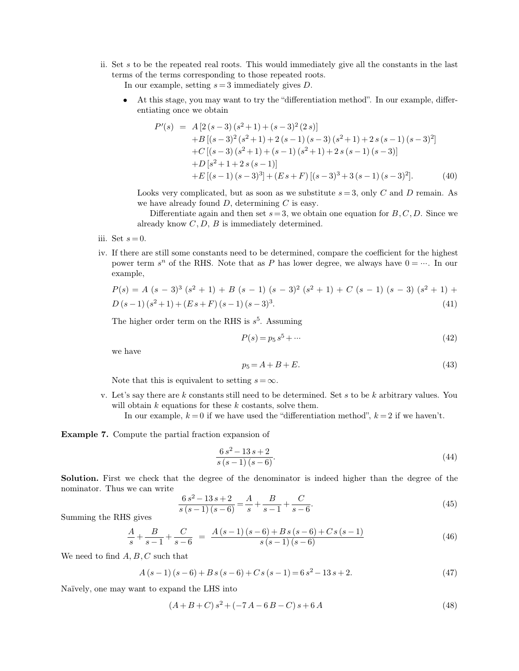ii. Set *<sup>s</sup>* to be the repeated real roots. This would immediately give all the constants in the last Set  $s$  to be the repeated real roots. This would immediately g<br>terms of the terms corresponding to those repeated roots.<br>In our example, setting  $s = 3$  immediately gives  $D$ . 9 is to be the repeated real roots. This would immediately give all the constants in the last ms of the terms corresponding to those repeated roots.<br>
In our example, setting  $s = 3$  immediately gives *D*.<br>
■ At this stage o be the repeated real roots. This<br>of the terms corresponding to thos<br>our example, setting  $s = 3$  immediating once we obtain<br> $P'(s) = A[2(s-3)(s^2+1)]$ 

In our example, setting  $s = 3$  immediately gives  $D$ .<br>
• At this stage, you may want to try the "different entiating once we obtain

Our example, setting 
$$
s = 3
$$
 immediately gives *D*.  
\nAt this stage, you may want to try the "differentiation method". In our example, differ-  
\nentiating once we obtain  
\n
$$
P'(s) = A[2(s-3)(s^2+1)+(s-3)^2(2s)] +B[(s-3)^2(s^2+1)+(s-1)(s-3)(s^2+1)+2s(s-1)(s-3)^2] +C[(s-3)(s^2+1)+(s-1)(s^2+1)+2s(s-1)(s-3)] +D[s^2+1+2s(s-1)] +E[(s-1)(s-3)^3] + (Es+F)[(s-3)^3+3(s-1)(s-3)^2].
$$
\n(40)  
\nLooks very complicated, but as soon as we substitute  $s = 3$ , only *C* and *D* remain. As  
\nwe have already found *D*, determining *C* is easy.  
\nDifferentiate again and then set  $s = 3$ , we obtain one equation for *B*, *C*, *D*. Since we  
\nalready know *C*, *D*, *B* is immediately determined.

 $+E[(s-1)(s-3)^3] + (Es+F)[(s-3)^3]$ <br>Looks very complicated, but as soon as we substitute we have already found *D*, determining *C* is easy.<br>Differentiate again and then set  $s=3$ , we obtain one already know *C*, *D*, *B* is immed

Looks very c<br>we have alree Differenti<br>already know<br>iii. Set  $s = 0$ .<br>iv. If there are still son

- 
- iv. If there are still some constants need to be determined, compare the coefficient for the highest in. Set  $s = 0$ .<br>iv. If there are still some constants need to be determined, compare the coefficient for the highest pow Differentiate again and then set  $s = 3$ , we obtain one equation for  $B, C, D$ . Since we already know  $C, D, B$  is immediately determined.<br>Set  $s = 0$ .<br>If there are still some constants need to be determined, compare the coeffi example, If there are still some constants need to be determined, compare the coefficient for the highest<br>power term  $s^n$  of the RHS. Note that as *P* has lower degree, we always have  $0 = \dots$ . In our<br>example,<br> $P(s) = A (s - 3)^3 (s^2 + 1) +$ ne highest<br>  $\cdots$  In our<br>  $\binom{2^2 + 1}{4}$ *D* (*s*  $\bar{f}$  *n* (*s*  $\bar{f}$  *c*  $\bar{f}$  *f*  $\bar{f}$  *n*  $\bar{f}$  *f*  $\bar{f}$  *f*  $\bar{f}$  *f*  $\bar{f}$  *f*  $\bar{f}$  *f*  $\bar{f}$  *f*  $\bar{f}$  *f*  $\bar{f}$  *f*  $\bar{f}$  *f*  $\bar{f}$  *f*  $\bar{f}$  *f*  $\bar{f}$  *f*  $\bar{f}$  *f*  $\bar$

example,  
\n
$$
P(s) = A (s - 3)^{3} (s^{2} + 1) + B (s - 1) (s - 3)^{2} (s^{2} + 1) + C (s - 1) (s - 3) (s^{2} + 1) + D (s - 1) (s^{2} + 1) + (Es + F) (s - 1) (s - 3)^{3}.
$$
\n(41)  
\nThe higher order term on the RHS is  $s^{5}$ . Assuming  
\n
$$
P(s) = p_{5} s^{5} + \cdots
$$
\n(42)  
\nwe have  
\n
$$
p_{5} = A + B + E.
$$
\n(43)

 $5\quad A$  ss11

$$
P(s) = p_5 s^5 + \dots \tag{42}
$$

$$
p_5 = A + B + E.\tag{43}
$$

 $P(s) = p_5 s^5 + \cdots$  (42)<br>
we have<br>  $p_5 = A + B + E.$  (43)<br>
Note that this is equivalent to setting  $s = \infty$ .<br>
v. Let's say there are *k* constants still need to be determined. Set *s* to be *k* arbitrary values. You<br>
will obtain  $p_5 = A + B + E.$ <br>Note that this is equivalent to setting  $s = \infty$ .<br>Let's say there are *k* constants still need to be determined. S<br>will obtain *k* equations for these *k* costants, solve them.<br>In our example,  $k = 0$  if we hav In our example,  $k = 0$  if we have used the differentiation method,  $k = 2$  if we haven't.<br>In our example,  $k = 0$  if we have used the "differentiation method",  $k = 2$  if we haven't.

**Example 7.** Compute the partial fraction expansion of

these *k* costants, solve them.  
\nwe have used the "differentiation method", 
$$
k = 2
$$
 if we haven't.  
\n
$$
\frac{6 s^2 - 13 s + 2}{s (s - 1) (s - 6)}.
$$
\n(44)  
\nsee of the denominator is indeed higher than the degree of the

**Example 7.** Compute the partial fraction expansion of<br>  $\frac{6 s^2 - 13 s + 2}{s (s - 1) (s - 6)}$ . (44)<br> **Solution.** First we check that the degree of the denominator is indeed higher than the degree of the nominator. Thus we can w **Example 7:** Compute the partial risk<br>**Solution.** First we check that the comminator. Thus we can write nominator. Thus we can write<br>Summing the RHS gives

$$
\frac{6 s^2 - 13 s + 2}{s (s - 1) (s - 6)}.
$$
\n(44)

\nthe degree of the denominator is indeed higher than the degree of the

\n
$$
\frac{6 s^2 - 13 s + 2}{s (s - 1) (s - 6)} = \frac{A}{s} + \frac{B}{s - 1} + \frac{C}{s - 6}.
$$
\n(45)

nominator. Thus we can write

\n
$$
\frac{6 s^{2} - 13 s + 2}{s (s - 1) (s - 6)} = \frac{A}{s} + \frac{B}{s - 1} + \frac{C}{s - 6}.
$$
\nSumming the RHS gives

\n
$$
\frac{A}{s} + \frac{B}{s - 1} + \frac{C}{s - 6} = \frac{A (s - 1) (s - 6) + B s (s - 6) + C s (s - 1)}{s (s - 1) (s - 6)}.
$$
\nWe need to find A, B, C such that

\n
$$
A (s - 1) (s - 6) + B s (s - 6) + C s (s - 1) = 6 s^{2} - 13 s + 2.
$$
\n(47)

\nNaïvely, one may want to expand the LHS into

We need to find A, B, C such that  
\n
$$
A(s-1)(s-6) + Bs(s-6) + Cs(s-1) = 6s^2 - 13s + 2.
$$
 (47)  
\nNaively, one may want to expand the LHS into  
\n
$$
(A+B+C) s^2 + (-7A - 6B - C) s + 6A
$$
 (48)

$$
(A+B+C)s^2 + (-7A - 6B - C)s + 6A
$$
\n(48)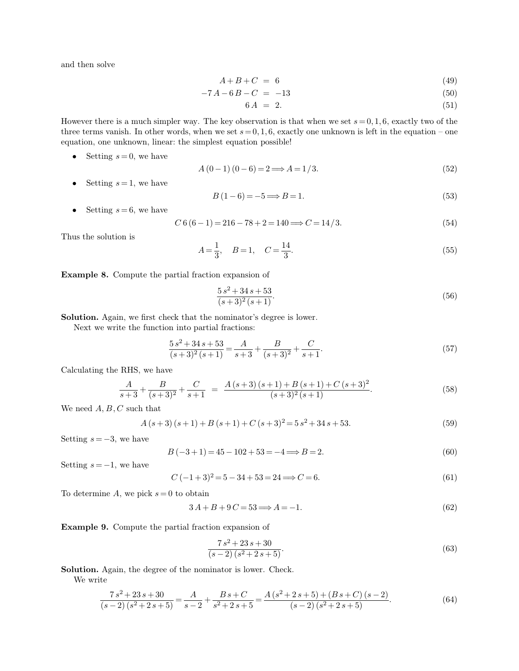and then solve

$$
A + B + C = 6 \tag{49}
$$

$$
A + B + C = 6
$$
(49)  
-7A-6B-C = -13 (50)  
6A = 2. (51)  
The key observation is that when we set  $s = 0, 1, 6$ , exactly two of the

$$
6A = 2.\t\t(51)
$$

 $A + B + C = 6$  (49)<br>  $-7A - 6B - C = -13$  (50)<br>  $6A = 2$ . (51)<br>
However there is a much simpler way. The key observation is that when we set  $s = 0, 1, 6$ , exactly two of the<br>
three terms vanish. In other words, when we set  $s = 0, 1$  $A + B + C = 6$  (49)<br>  $-7A - 6B - C = -13$  (50)<br>  $6A = 2.$  (51)<br>
However there is a much simpler way. The key observation is that when we set  $s = 0, 1, 6$ , exactly two of the<br>
three terms vanish. In other words, when we set  $s = 0, 1$  $-7A - 6B - C = -13$ <br>6  $A = 2$ .<br>However there is a much simpler way. The key observation is that three terms vanish. In other words, when we set  $s = 0, 1, 6$ , exactly condition, one unknown, linear: the simplest equation possib wever there is a much simpler way. The key observation is that when we set  $s = 0, 1, 6$ , exactly two of the ee terms vanish. In other words, when we set  $s = 0, 1, 6$ , exactly one unknown is left in the equation – one atio

$$
4(0-1)(0-6) = 2 \Longrightarrow A = 1/3. \tag{52}
$$

$$
B(1-6) = -5 \Longrightarrow B = 1. \tag{53}
$$

• Setting  $s = 6$ , we have Setting  $s = 6$ , we have  $\sum_{s=1}^{\infty}$ 

\n- Setting 
$$
s = 0
$$
, we have\n  $A(0-1)(0-6) = 2 \Longrightarrow A = 1/3.$ \n
\n- Setting  $s = 1$ , we have\n  $B(1-6) = -5 \Longrightarrow B = 1.$ \n
\n- Setting  $s = 6$ , we have\n  $C6(6-1) = 216 - 78 + 2 = 140 \Longrightarrow C = 14/3.$ \n
\n- (54)
\n

$$
-1) = 216 - 78 + 2 = 140 \Longrightarrow C = 14/3.
$$
\n
$$
A = \frac{1}{3}, \quad B = 1, \quad C = \frac{14}{3}.
$$
\n(55)

Thus the solution is<br>  $A = \frac{1}{3}$ ,  $B = 1$ , *C*<br> **Example 8.** Compute the partial fraction expansion of<br>  $\frac{5s^2 + 34s + 53}{s}$ 

**Example 8.** Compute the partial fraction expansion of 
$$
\frac{5 s^2 + 34 s + 53}{(s+3)^2 (s+1)}
$$
  $(56)$   
**Solution.** Again, we first check that the nominator's degree is lower.  
Next we write the function into partial fractions:

 $\frac{5s^2 + 34s + 53}{(s+3)^2(s+1)}$ <br>ution. Again, we first check that the nominator's deg<br>Next we write the function into partial fractions:<br> $5s^2 + 34s + 53$ 

eck that the nominator's degree is lower.  
\nn into partial fractions:  
\n
$$
\frac{5 s^2 + 34 s + 53}{(s+3)^2 (s+1)} = \frac{A}{s+3} + \frac{B}{(s+3)^2} + \frac{C}{s+1}.
$$
\n(57)  
\ne

Calculating the RHS, we have

Next we write the function into partial fractions:  
\n
$$
\frac{5 s^2 + 34 s + 53}{(s+3)^2 (s+1)} = \frac{A}{s+3} + \frac{B}{(s+3)^2} + \frac{C}{s+1}.
$$
\n
$$
\text{Iculating the RHS, we have}
$$
\n
$$
\frac{A}{s+3} + \frac{B}{(s+3)^2} + \frac{C}{s+1} = \frac{A(s+3)(s+1) + B(s+1) + C(s+3)^2}{(s+3)^2 (s+1)}.
$$
\n
$$
\text{24. } (58)
$$
\n
$$
\text{25. } (59)
$$
\n
$$
\text{26. } (59)
$$
\n
$$
\text{27. } (59)
$$
\n
$$
\text{28. } (59)
$$

We need  $A, B, C$  such that<br>  $A (s +$ <br>
Setting  $s = -3$ , we have

h that  
\n
$$
A(s+3)(s+1) + B(s+1) + C(s+3)^2 = 5s^2 + 34s + 53.
$$
 (59)  
\n $B(-3+1) = 45 - 102 + 53 = -4 \Longrightarrow B = 2.$  (60)  
\n $32s$ 

 $A(s+3)$  (Setting  $s = -3$ , we have  $B$ <br>Setting  $s = -1$ , we have

$$
B(-3+1) = 45 - 102 + 53 = -4 \Longrightarrow B = 2. \tag{60}
$$

$$
B(-3+1) = 45 - 102 + 53 = -4 \Longrightarrow B = 2.
$$
  
(60)  

$$
C(-1+3)^2 = 5 - 34 + 53 = 24 \Longrightarrow C = 6.
$$
  
(61)  
to obtain  

$$
3A + B + 9C = 53 \Longrightarrow A = -1.
$$
  
(62)  
partial fraction expansion of

 $B(-3+1) = 45 - 105$ <br>Setting  $s = -1$ , we have<br> $C(-1+3)^2 = 5 - 34$ <br>To determine *A*, we pick  $s = 0$  to obtain<br> $3A + B + 9C =$ 

$$
3A + B + 9C = 53 \Longrightarrow A = -1.
$$
\n<sup>(62)</sup>

To determine A, we pick  $s = 0$  to obtain<br>  $3A + B + 9C = 53 \Longrightarrow$ <br> **Example 9.** Compute the partial fraction expansion of

$$
3A + B + 9C = 53 \Longrightarrow A = -1.
$$
\n**Example 9.** Compute the partial fraction expansion of

\n
$$
\frac{7s^2 + 23s + 30}{(s-2)(s^2 + 2s + 5)}.
$$
\n**Solution.** Again, the degree of the nominator is lower. Check.

\nWe write

\n
$$
5a + 3b + 3c = 5
$$
\n**Example 9.** Compute the partial fraction expansion of

\n
$$
5a + 3c = 5
$$
\n**Example 10.** Show that, the difference between the two numbers labeled  $s$  and  $s$  are the same as  $s$  and  $s$  are the same as  $s$  and  $s$  are the same as  $s$  and  $s$  are the same as  $s$  and  $s$  are the same as  $s$  and  $s$  are the same as  $s$  and  $s$  are the same as  $s$  and  $s$  are the same as  $s$  and  $s$  are the same as  $s$  and  $s$  are the same as  $s$  and  $s$  are the same as  $s$  and  $s$  are the same as  $s$  and  $s$  are the same as  $s$  and  $s$  are the same as  $s$  and  $s$  are the same as  $s$  and  $s$  are the same as  $s$  and  $s$  are the same as  $s$  and  $s$  are the same as  $s$  and  $s$  are the same as  $s$  and  $s$  are the same as  $s$  and  $s$  are the same as  $s$  and  $s$  are the same as  $s$  and  $s$  are the same as  $s$  and  $s$  are the same as  $s$  and  $s$  are the same as  $s$  and  $s$  are the same as  $s$  and  $s$  are the same as  $s$  and  $s$  are the same as  $s$  and  $s$  are the same as  $s$  and  $s$  are the same as  $s$  and  $s$  are the same as  $s$  and  $s$  are the same as  $s$  and  $s$  are the same as

**ample 9.** Comp<br> **ution.** Again, the write<br>  $7s^2 + 2r^2 + 2r^2 + 2r^2$ 

Again, the degree of the nominator is lower. Check.  
\n
$$
\frac{7s^2 + 25s + 50}{(s-2)(s^2+2s+5)} = \frac{A}{s-2} + \frac{Bs+C}{s^2+2s+5} = \frac{A(s^2+2s+5) + (Bs+C)(s-2)}{(s-2)(s^2+2s+5)}.
$$
\n(64)